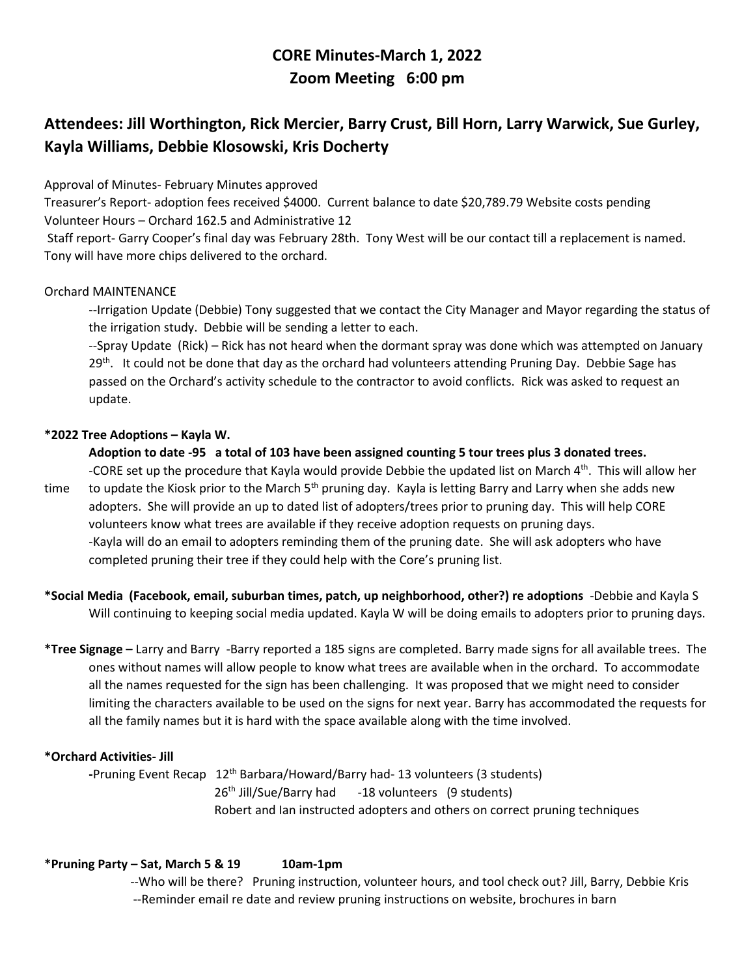# **CORE Minutes-March 1, 2022 Zoom Meeting 6:00 pm**

# **Attendees: Jill Worthington, Rick Mercier, Barry Crust, Bill Horn, Larry Warwick, Sue Gurley, Kayla Williams, Debbie Klosowski, Kris Docherty**

Approval of Minutes- February Minutes approved

Treasurer's Report- adoption fees received \$4000. Current balance to date \$20,789.79 Website costs pending Volunteer Hours – Orchard 162.5 and Administrative 12

Staff report- Garry Cooper's final day was February 28th. Tony West will be our contact till a replacement is named. Tony will have more chips delivered to the orchard.

## Orchard MAINTENANCE

--Irrigation Update (Debbie) Tony suggested that we contact the City Manager and Mayor regarding the status of the irrigation study. Debbie will be sending a letter to each.

--Spray Update (Rick) – Rick has not heard when the dormant spray was done which was attempted on January 29<sup>th</sup>. It could not be done that day as the orchard had volunteers attending Pruning Day. Debbie Sage has passed on the Orchard's activity schedule to the contractor to avoid conflicts. Rick was asked to request an update.

## **\*2022 Tree Adoptions – Kayla W.**

## **Adoption to date -95 a total of 103 have been assigned counting 5 tour trees plus 3 donated trees.**

-CORE set up the procedure that Kayla would provide Debbie the updated list on March 4<sup>th</sup>. This will allow her time to update the Kiosk prior to the March 5<sup>th</sup> pruning day. Kayla is letting Barry and Larry when she adds new adopters. She will provide an up to dated list of adopters/trees prior to pruning day. This will help CORE volunteers know what trees are available if they receive adoption requests on pruning days. -Kayla will do an email to adopters reminding them of the pruning date. She will ask adopters who have completed pruning their tree if they could help with the Core's pruning list.

**\*Social Media (Facebook, email, suburban times, patch, up neighborhood, other?) re adoptions** -Debbie and Kayla SWill continuing to keeping social media updated. Kayla W will be doing emails to adopters prior to pruning days.

**\*Tree Signage –** Larry and Barry -Barry reported a 185 signs are completed. Barry made signs for all available trees. The ones without names will allow people to know what trees are available when in the orchard. To accommodate all the names requested for the sign has been challenging. It was proposed that we might need to consider limiting the characters available to be used on the signs for next year. Barry has accommodated the requests for all the family names but it is hard with the space available along with the time involved.

## **\*Orchard Activities- Jill**

**-**Pruning Event Recap 12th Barbara/Howard/Barry had- 13 volunteers (3 students)  $26<sup>th</sup>$  Jill/Sue/Barry had  $-18$  volunteers (9 students) Robert and Ian instructed adopters and others on correct pruning techniques

## **\*Pruning Party – Sat, March 5 & 19 10am-1pm**

--Who will be there? Pruning instruction, volunteer hours, and tool check out? Jill, Barry, Debbie Kris --Reminder email re date and review pruning instructions on website, brochures in barn